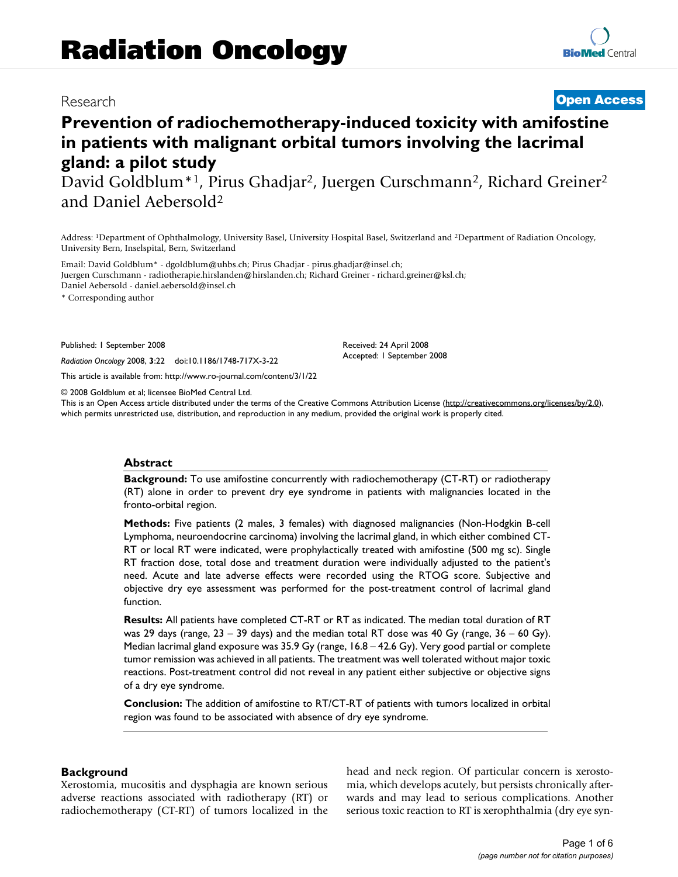## Research **[Open Access](http://www.biomedcentral.com/info/about/charter/)**

# **Prevention of radiochemotherapy-induced toxicity with amifostine in patients with malignant orbital tumors involving the lacrimal gland: a pilot study**

David Goldblum<sup>\*1</sup>, Pirus Ghadjar<sup>2</sup>, Juergen Curschmann<sup>2</sup>, Richard Greiner<sup>2</sup> and Daniel Aebersold2

Address: 1Department of Ophthalmology, University Basel, University Hospital Basel, Switzerland and 2Department of Radiation Oncology, University Bern, Inselspital, Bern, Switzerland

Email: David Goldblum\* - dgoldblum@uhbs.ch; Pirus Ghadjar - pirus.ghadjar@insel.ch; Juergen Curschmann - radiotherapie.hirslanden@hirslanden.ch; Richard Greiner - richard.greiner@ksl.ch; Daniel Aebersold - daniel.aebersold@insel.ch

\* Corresponding author

Published: 1 September 2008

*Radiation Oncology* 2008, **3**:22 doi:10.1186/1748-717X-3-22

[This article is available from: http://www.ro-journal.com/content/3/1/22](http://www.ro-journal.com/content/3/1/22)

© 2008 Goldblum et al; licensee BioMed Central Ltd.

This is an Open Access article distributed under the terms of the Creative Commons Attribution License [\(http://creativecommons.org/licenses/by/2.0\)](http://creativecommons.org/licenses/by/2.0), which permits unrestricted use, distribution, and reproduction in any medium, provided the original work is properly cited.

Received: 24 April 2008 Accepted: 1 September 2008

#### **Abstract**

**Background:** To use amifostine concurrently with radiochemotherapy (CT-RT) or radiotherapy (RT) alone in order to prevent dry eye syndrome in patients with malignancies located in the fronto-orbital region.

**Methods:** Five patients (2 males, 3 females) with diagnosed malignancies (Non-Hodgkin B-cell Lymphoma, neuroendocrine carcinoma) involving the lacrimal gland, in which either combined CT-RT or local RT were indicated, were prophylactically treated with amifostine (500 mg sc). Single RT fraction dose, total dose and treatment duration were individually adjusted to the patient's need. Acute and late adverse effects were recorded using the RTOG score. Subjective and objective dry eye assessment was performed for the post-treatment control of lacrimal gland function.

**Results:** All patients have completed CT-RT or RT as indicated. The median total duration of RT was 29 days (range,  $23 - 39$  days) and the median total RT dose was 40 Gy (range,  $36 - 60$  Gy). Median lacrimal gland exposure was 35.9 Gy (range, 16.8 – 42.6 Gy). Very good partial or complete tumor remission was achieved in all patients. The treatment was well tolerated without major toxic reactions. Post-treatment control did not reveal in any patient either subjective or objective signs of a dry eye syndrome.

**Conclusion:** The addition of amifostine to RT/CT-RT of patients with tumors localized in orbital region was found to be associated with absence of dry eye syndrome.

#### **Background**

Xerostomia, mucositis and dysphagia are known serious adverse reactions associated with radiotherapy (RT) or radiochemotherapy (CT-RT) of tumors localized in the head and neck region. Of particular concern is xerostomia, which develops acutely, but persists chronically afterwards and may lead to serious complications. Another serious toxic reaction to RT is xerophthalmia (dry eye syn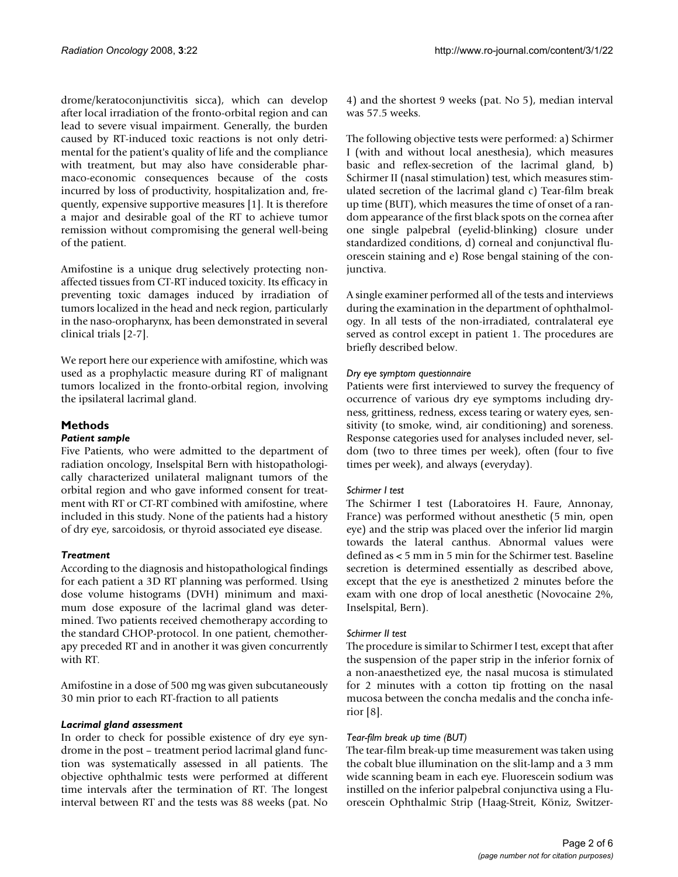drome/keratoconjunctivitis sicca), which can develop after local irradiation of the fronto-orbital region and can lead to severe visual impairment. Generally, the burden caused by RT-induced toxic reactions is not only detrimental for the patient's quality of life and the compliance with treatment, but may also have considerable pharmaco-economic consequences because of the costs incurred by loss of productivity, hospitalization and, frequently, expensive supportive measures [1]. It is therefore a major and desirable goal of the RT to achieve tumor remission without compromising the general well-being of the patient.

Amifostine is a unique drug selectively protecting nonaffected tissues from CT-RT induced toxicity. Its efficacy in preventing toxic damages induced by irradiation of tumors localized in the head and neck region, particularly in the naso-oropharynx, has been demonstrated in several clinical trials [2-7].

We report here our experience with amifostine, which was used as a prophylactic measure during RT of malignant tumors localized in the fronto-orbital region, involving the ipsilateral lacrimal gland.

### **Methods**

#### *Patient sample*

Five Patients, who were admitted to the department of radiation oncology, Inselspital Bern with histopathologically characterized unilateral malignant tumors of the orbital region and who gave informed consent for treatment with RT or CT-RT combined with amifostine, where included in this study. None of the patients had a history of dry eye, sarcoidosis, or thyroid associated eye disease.

#### *Treatment*

According to the diagnosis and histopathological findings for each patient a 3D RT planning was performed. Using dose volume histograms (DVH) minimum and maximum dose exposure of the lacrimal gland was determined. Two patients received chemotherapy according to the standard CHOP-protocol. In one patient, chemotherapy preceded RT and in another it was given concurrently with RT.

Amifostine in a dose of 500 mg was given subcutaneously 30 min prior to each RT-fraction to all patients

#### *Lacrimal gland assessment*

In order to check for possible existence of dry eye syndrome in the post – treatment period lacrimal gland function was systematically assessed in all patients. The objective ophthalmic tests were performed at different time intervals after the termination of RT. The longest interval between RT and the tests was 88 weeks (pat. No 4) and the shortest 9 weeks (pat. No 5), median interval was 57.5 weeks.

The following objective tests were performed: a) Schirmer I (with and without local anesthesia), which measures basic and reflex-secretion of the lacrimal gland, b) Schirmer II (nasal stimulation) test, which measures stimulated secretion of the lacrimal gland c) Tear-film break up time (BUT), which measures the time of onset of a random appearance of the first black spots on the cornea after one single palpebral (eyelid-blinking) closure under standardized conditions, d) corneal and conjunctival fluorescein staining and e) Rose bengal staining of the conjunctiva.

A single examiner performed all of the tests and interviews during the examination in the department of ophthalmology. In all tests of the non-irradiated, contralateral eye served as control except in patient 1. The procedures are briefly described below.

#### *Dry eye symptom questionnaire*

Patients were first interviewed to survey the frequency of occurrence of various dry eye symptoms including dryness, grittiness, redness, excess tearing or watery eyes, sensitivity (to smoke, wind, air conditioning) and soreness. Response categories used for analyses included never, seldom (two to three times per week), often (four to five times per week), and always (everyday).

#### *Schirmer I test*

The Schirmer I test (Laboratoires H. Faure, Annonay, France) was performed without anesthetic (5 min, open eye) and the strip was placed over the inferior lid margin towards the lateral canthus. Abnormal values were defined as < 5 mm in 5 min for the Schirmer test. Baseline secretion is determined essentially as described above, except that the eye is anesthetized 2 minutes before the exam with one drop of local anesthetic (Novocaine 2%, Inselspital, Bern).

#### *Schirmer II test*

The procedure is similar to Schirmer I test, except that after the suspension of the paper strip in the inferior fornix of a non-anaesthetized eye, the nasal mucosa is stimulated for 2 minutes with a cotton tip frotting on the nasal mucosa between the concha medalis and the concha inferior [8].

#### *Tear-film break up time (BUT)*

The tear-film break-up time measurement was taken using the cobalt blue illumination on the slit-lamp and a 3 mm wide scanning beam in each eye. Fluorescein sodium was instilled on the inferior palpebral conjunctiva using a Fluorescein Ophthalmic Strip (Haag-Streit, Köniz, Switzer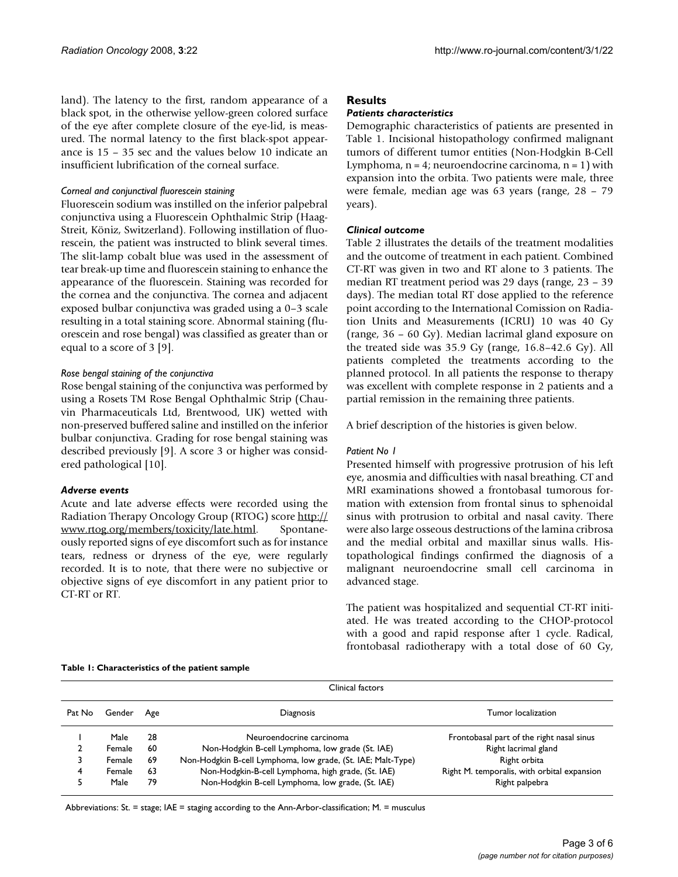land). The latency to the first, random appearance of a black spot, in the otherwise yellow-green colored surface of the eye after complete closure of the eye-lid, is measured. The normal latency to the first black-spot appearance is 15 – 35 sec and the values below 10 indicate an insufficient lubrification of the corneal surface.

#### *Corneal and conjunctival fluorescein staining*

Fluorescein sodium was instilled on the inferior palpebral conjunctiva using a Fluorescein Ophthalmic Strip (Haag-Streit, Köniz, Switzerland). Following instillation of fluorescein, the patient was instructed to blink several times. The slit-lamp cobalt blue was used in the assessment of tear break-up time and fluorescein staining to enhance the appearance of the fluorescein. Staining was recorded for the cornea and the conjunctiva. The cornea and adjacent exposed bulbar conjunctiva was graded using a 0–3 scale resulting in a total staining score. Abnormal staining (fluorescein and rose bengal) was classified as greater than or equal to a score of 3 [9].

#### *Rose bengal staining of the conjunctiva*

Rose bengal staining of the conjunctiva was performed by using a Rosets TM Rose Bengal Ophthalmic Strip (Chauvin Pharmaceuticals Ltd, Brentwood, UK) wetted with non-preserved buffered saline and instilled on the inferior bulbar conjunctiva. Grading for rose bengal staining was described previously [9]. A score 3 or higher was considered pathological [10].

#### *Adverse events*

Acute and late adverse effects were recorded using the Radiation Therapy Oncology Group (RTOG) score [http://](http://www.rtog.org/members/toxicity/late.html) [www.rtog.org/members/toxicity/late.html](http://www.rtog.org/members/toxicity/late.html). Spontaneously reported signs of eye discomfort such as for instance tears, redness or dryness of the eye, were regularly recorded. It is to note, that there were no subjective or objective signs of eye discomfort in any patient prior to CT-RT or RT.

#### **Results**

#### *Patients characteristics*

Demographic characteristics of patients are presented in Table 1. Incisional histopathology confirmed malignant tumors of different tumor entities (Non-Hodgkin B-Cell Lymphoma,  $n = 4$ ; neuroendocrine carcinoma,  $n = 1$ ) with expansion into the orbita. Two patients were male, three were female, median age was 63 years (range, 28 – 79 years).

#### *Clinical outcome*

Table 2 illustrates the details of the treatment modalities and the outcome of treatment in each patient. Combined CT-RT was given in two and RT alone to 3 patients. The median RT treatment period was 29 days (range, 23 – 39 days). The median total RT dose applied to the reference point according to the International Comission on Radiation Units and Measurements (ICRU) 10 was 40 Gy (range, 36 – 60 Gy). Median lacrimal gland exposure on the treated side was 35.9 Gy (range, 16.8–42.6 Gy). All patients completed the treatments according to the planned protocol. In all patients the response to therapy was excellent with complete response in 2 patients and a partial remission in the remaining three patients.

A brief description of the histories is given below.

#### *Patient No 1*

Presented himself with progressive protrusion of his left eye, anosmia and difficulties with nasal breathing. CT and MRI examinations showed a frontobasal tumorous formation with extension from frontal sinus to sphenoidal sinus with protrusion to orbital and nasal cavity. There were also large osseous destructions of the lamina cribrosa and the medial orbital and maxillar sinus walls. Histopathological findings confirmed the diagnosis of a malignant neuroendocrine small cell carcinoma in advanced stage.

The patient was hospitalized and sequential CT-RT initiated. He was treated according to the CHOP-protocol with a good and rapid response after 1 cycle. Radical, frontobasal radiotherapy with a total dose of 60 Gy,

#### **Table 1: Characteristics of the patient sample**

Clinical factors Pat No Gender Age **Diagnosis** Diagnosis **Pat No Gender Age in the Security Pat No Gender** Age in the Diagnosis **Pat No General** Europe in the Security of the Security of the Security of the Security of the Security of the 1 Male 28 Meuroendocrine carcinoma Frontobasal part of the right nasal sinus 2 Female 60 Non-Hodgkin B-cell Lymphoma, low grade (St. IAE) Right lacrimal gland 3 Female 69 Non-Hodgkin B-cell Lymphoma, low grade, (St. IAE; Malt-Type) Right orbita 4 Female 63 Non-Hodgkin-B-cell Lymphoma, high grade, (St. IAE) Right M. temporalis, with orbital expansion 5 Male 79 Non-Hodgkin B-cell Lymphoma, Iow grade, (St. IAE) Right palpebra

Abbreviations: St. = stage; IAE = staging according to the Ann-Arbor-classification; M. = musculus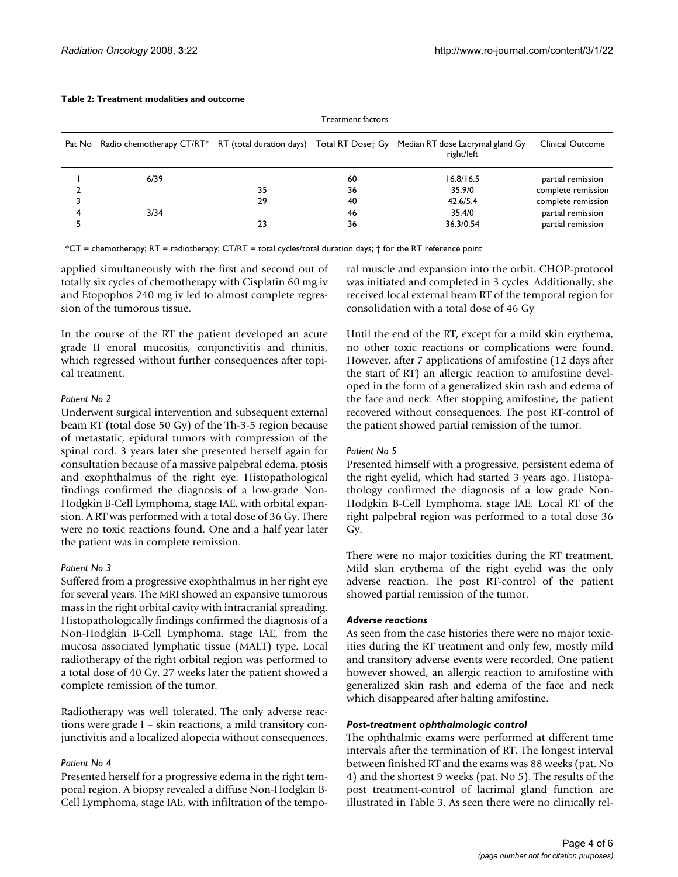|   | Treatment factors |    |    |                                                                                                                            |                    |  |  |  |
|---|-------------------|----|----|----------------------------------------------------------------------------------------------------------------------------|--------------------|--|--|--|
|   |                   |    |    | Pat No Radio chemotherapy CT/RT* RT (total duration days) Total RT Dose† Gy Median RT dose Lacrymal gland Gy<br>right/left | Clinical Outcome   |  |  |  |
|   | 6/39              |    | 60 | 16.8/16.5                                                                                                                  | partial remission  |  |  |  |
|   |                   | 35 | 36 | 35.9/0                                                                                                                     | complete remission |  |  |  |
|   |                   | 29 | 40 | 42.6/5.4                                                                                                                   | complete remission |  |  |  |
| 4 | 3/34              |    | 46 | 35.4/0                                                                                                                     | partial remission  |  |  |  |
|   |                   | 23 | 36 | 36.3/0.54                                                                                                                  | partial remission  |  |  |  |

#### **Table 2: Treatment modalities and outcome**

\*CT = chemotherapy; RT = radiotherapy; CT/RT = total cycles/total duration days; † for the RT reference point

applied simultaneously with the first and second out of totally six cycles of chemotherapy with Cisplatin 60 mg iv and Etopophos 240 mg iv led to almost complete regression of the tumorous tissue.

In the course of the RT the patient developed an acute grade II enoral mucositis, conjunctivitis and rhinitis, which regressed without further consequences after topical treatment.

#### *Patient No 2*

Underwent surgical intervention and subsequent external beam RT (total dose 50 Gy) of the Th-3-5 region because of metastatic, epidural tumors with compression of the spinal cord. 3 years later she presented herself again for consultation because of a massive palpebral edema, ptosis and exophthalmus of the right eye. Histopathological findings confirmed the diagnosis of a low-grade Non-Hodgkin B-Cell Lymphoma, stage IAE, with orbital expansion. A RT was performed with a total dose of 36 Gy. There were no toxic reactions found. One and a half year later the patient was in complete remission.

#### *Patient No 3*

Suffered from a progressive exophthalmus in her right eye for several years. The MRI showed an expansive tumorous mass in the right orbital cavity with intracranial spreading. Histopathologically findings confirmed the diagnosis of a Non-Hodgkin B-Cell Lymphoma, stage IAE, from the mucosa associated lymphatic tissue (MALT) type. Local radiotherapy of the right orbital region was performed to a total dose of 40 Gy. 27 weeks later the patient showed a complete remission of the tumor.

Radiotherapy was well tolerated. The only adverse reactions were grade I – skin reactions, a mild transitory conjunctivitis and a localized alopecia without consequences.

#### *Patient No 4*

Presented herself for a progressive edema in the right temporal region. A biopsy revealed a diffuse Non-Hodgkin B-Cell Lymphoma, stage IAE, with infiltration of the temporal muscle and expansion into the orbit. CHOP-protocol was initiated and completed in 3 cycles. Additionally, she received local external beam RT of the temporal region for consolidation with a total dose of 46 Gy

Until the end of the RT, except for a mild skin erythema, no other toxic reactions or complications were found. However, after 7 applications of amifostine (12 days after the start of RT) an allergic reaction to amifostine developed in the form of a generalized skin rash and edema of the face and neck. After stopping amifostine, the patient recovered without consequences. The post RT-control of the patient showed partial remission of the tumor.

#### *Patient No 5*

Presented himself with a progressive, persistent edema of the right eyelid, which had started 3 years ago. Histopathology confirmed the diagnosis of a low grade Non-Hodgkin B-Cell Lymphoma, stage IAE. Local RT of the right palpebral region was performed to a total dose 36 Gy.

There were no major toxicities during the RT treatment. Mild skin erythema of the right eyelid was the only adverse reaction. The post RT-control of the patient showed partial remission of the tumor.

#### *Adverse reactions*

As seen from the case histories there were no major toxicities during the RT treatment and only few, mostly mild and transitory adverse events were recorded. One patient however showed, an allergic reaction to amifostine with generalized skin rash and edema of the face and neck which disappeared after halting amifostine.

#### *Post-treatment ophthalmologic control*

The ophthalmic exams were performed at different time intervals after the termination of RT. The longest interval between finished RT and the exams was 88 weeks (pat. No 4) and the shortest 9 weeks (pat. No 5). The results of the post treatment-control of lacrimal gland function are illustrated in Table 3. As seen there were no clinically rel-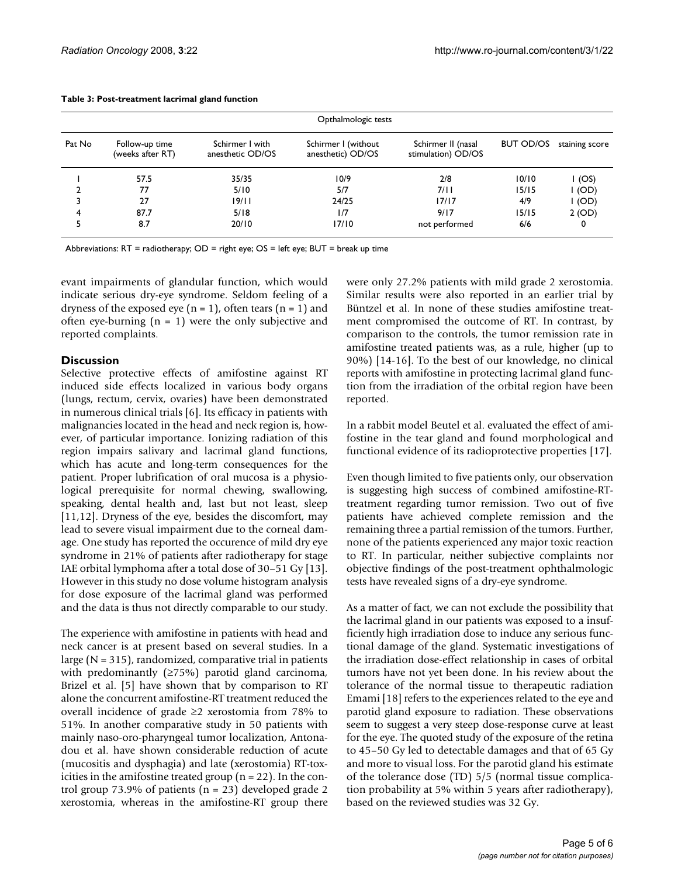|        | Opthalmologic tests                |                                     |                                          |                                          |           |                |  |  |  |
|--------|------------------------------------|-------------------------------------|------------------------------------------|------------------------------------------|-----------|----------------|--|--|--|
| Pat No | Follow-up time<br>(weeks after RT) | Schirmer I with<br>anesthetic OD/OS | Schirmer I (without<br>anesthetic) OD/OS | Schirmer II (nasal<br>stimulation) OD/OS | BUT OD/OS | staining score |  |  |  |
|        | 57.5                               | 35/35                               | 10/9                                     | 2/8                                      | 10/10     | I (OS)         |  |  |  |
|        | 77                                 | 5/10                                | 5/7                                      | 7/11                                     | 15/15     | I (OD)         |  |  |  |
| 3      | 27                                 | 19/11                               | 24/25                                    | 17/17                                    | 4/9       | $I$ (OD)       |  |  |  |
| 4      | 87.7                               | 5/18                                | 1/7                                      | 9/17                                     | 15/15     | 2 (OD)         |  |  |  |
| 5      | 8.7                                | 20/10                               | 17/10                                    | not performed                            | 6/6       | 0              |  |  |  |

#### **Table 3: Post-treatment lacrimal gland function**

Abbreviations:  $RT =$  radiotherapy;  $OD =$  right eye;  $OS =$  left eye;  $BUT =$  break up time

evant impairments of glandular function, which would indicate serious dry-eye syndrome. Seldom feeling of a dryness of the exposed eye ( $n = 1$ ), often tears ( $n = 1$ ) and often eye-burning  $(n = 1)$  were the only subjective and reported complaints.

#### **Discussion**

Selective protective effects of amifostine against RT induced side effects localized in various body organs (lungs, rectum, cervix, ovaries) have been demonstrated in numerous clinical trials [6]. Its efficacy in patients with malignancies located in the head and neck region is, however, of particular importance. Ionizing radiation of this region impairs salivary and lacrimal gland functions, which has acute and long-term consequences for the patient. Proper lubrification of oral mucosa is a physiological prerequisite for normal chewing, swallowing, speaking, dental health and, last but not least, sleep [11,12]. Dryness of the eye, besides the discomfort, may lead to severe visual impairment due to the corneal damage. One study has reported the occurence of mild dry eye syndrome in 21% of patients after radiotherapy for stage IAE orbital lymphoma after a total dose of 30–51 Gy [13]. However in this study no dose volume histogram analysis for dose exposure of the lacrimal gland was performed and the data is thus not directly comparable to our study.

The experience with amifostine in patients with head and neck cancer is at present based on several studies. In a large  $(N = 315)$ , randomized, comparative trial in patients with predominantly (≥75%) parotid gland carcinoma, Brizel et al. [5] have shown that by comparison to RT alone the concurrent amifostine-RT treatment reduced the overall incidence of grade ≥2 xerostomia from 78% to 51%. In another comparative study in 50 patients with mainly naso-oro-pharyngeal tumor localization, Antonadou et al. have shown considerable reduction of acute (mucositis and dysphagia) and late (xerostomia) RT-toxicities in the amifostine treated group ( $n = 22$ ). In the control group 73.9% of patients (n = 23) developed grade 2 xerostomia, whereas in the amifostine-RT group there were only 27.2% patients with mild grade 2 xerostomia. Similar results were also reported in an earlier trial by Büntzel et al. In none of these studies amifostine treatment compromised the outcome of RT. In contrast, by comparison to the controls, the tumor remission rate in amifostine treated patients was, as a rule, higher (up to 90%) [14-16]. To the best of our knowledge, no clinical reports with amifostine in protecting lacrimal gland function from the irradiation of the orbital region have been reported.

In a rabbit model Beutel et al. evaluated the effect of amifostine in the tear gland and found morphological and functional evidence of its radioprotective properties [17].

Even though limited to five patients only, our observation is suggesting high success of combined amifostine-RTtreatment regarding tumor remission. Two out of five patients have achieved complete remission and the remaining three a partial remission of the tumors. Further, none of the patients experienced any major toxic reaction to RT. In particular, neither subjective complaints nor objective findings of the post-treatment ophthalmologic tests have revealed signs of a dry-eye syndrome.

As a matter of fact, we can not exclude the possibility that the lacrimal gland in our patients was exposed to a insufficiently high irradiation dose to induce any serious functional damage of the gland. Systematic investigations of the irradiation dose-effect relationship in cases of orbital tumors have not yet been done. In his review about the tolerance of the normal tissue to therapeutic radiation Emami [18] refers to the experiences related to the eye and parotid gland exposure to radiation. These observations seem to suggest a very steep dose-response curve at least for the eye. The quoted study of the exposure of the retina to 45–50 Gy led to detectable damages and that of 65 Gy and more to visual loss. For the parotid gland his estimate of the tolerance dose (TD) 5/5 (normal tissue complication probability at 5% within 5 years after radiotherapy), based on the reviewed studies was 32 Gy.